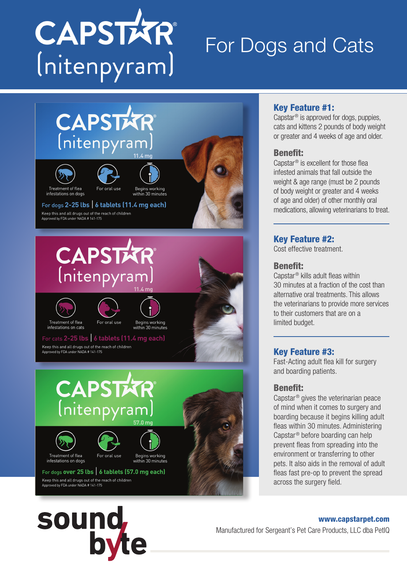

# For Dogs and Cats



# Key Feature #1:

Capstar® is approved for dogs, puppies, cats and kittens 2 pounds of body weight or greater and 4 weeks of age and older.

#### Benefit:

Capstar® is excellent for those flea infested animals that fall outside the weight & age range (must be 2 pounds of body weight or greater and 4 weeks of age and older) of other monthly oral medications, allowing veterinarians to treat.

# Key Feature #2:

Cost effective treatment.

## Benefit:

Capstar® kills adult fleas within 30 minutes at a fraction of the cost than alternative oral treatments. This allows the veterinarians to provide more services to their customers that are on a limited budget.

# Key Feature #3:

Fast-Acting adult flea kill for surgery and boarding patients.

## Benefit:

Capstar® gives the veterinarian peace of mind when it comes to surgery and boarding because it begins killing adult fleas within 30 minutes. Administering Capstar® before boarding can help prevent fleas from spreading into the environment or transferring to other pets. It also aids in the removal of adult fleas fast pre-op to prevent the spread across the surgery field.



www.capstarpet.com Manufactured for Sergeant's Pet Care Products, LLC dba PetIQ